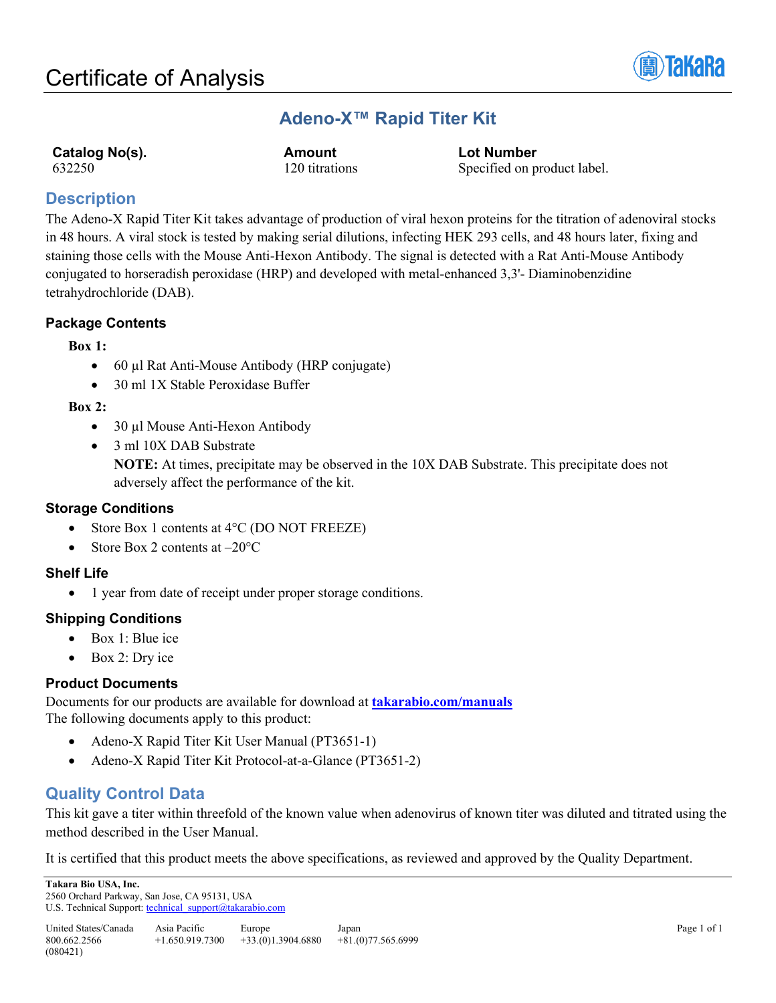

# **Adeno-X™ Rapid Titer Kit**

**Catalog No(s). Amount Lot Number**<br>  $\begin{array}{ccc}\n 632250 & & 120 \text{ titrations} & & \text{Specified on p} \\
\end{array}$ 120 titrations Specified on product label.

## **Description**

The Adeno-X Rapid Titer Kit takes advantage of production of viral hexon proteins for the titration of adenoviral stocks in 48 hours. A viral stock is tested by making serial dilutions, infecting HEK 293 cells, and 48 hours later, fixing and staining those cells with the Mouse Anti-Hexon Antibody. The signal is detected with a Rat Anti-Mouse Antibody conjugated to horseradish peroxidase (HRP) and developed with metal-enhanced 3,3'- Diaminobenzidine tetrahydrochloride (DAB).

## **Package Contents**

#### **Box 1:**

- 60 µl Rat Anti-Mouse Antibody (HRP conjugate)
- 30 ml 1X Stable Peroxidase Buffer

## **Box 2:**

- 30 µl Mouse Anti-Hexon Antibody
- 3 ml 10X DAB Substrate

**NOTE:** At times, precipitate may be observed in the 10X DAB Substrate. This precipitate does not adversely affect the performance of the kit.

### **Storage Conditions**

- Store Box 1 contents at 4°C (DO NOT FREEZE)
- Store Box 2 contents at  $-20^{\circ}$ C

### **Shelf Life**

• 1 year from date of receipt under proper storage conditions.

### **Shipping Conditions**

- Box 1: Blue ice
- Box 2: Dry ice

### **Product Documents**

Documents for our products are available for download at **[takarabio.com/manuals](http://www.takarabio.com/manuals)** The following documents apply to this product:

- Adeno-X Rapid Titer Kit User Manual (PT3651-1)
- Adeno-X Rapid Titer Kit Protocol-at-a-Glance (PT3651-2)

## **Quality Control Data**

This kit gave a titer within threefold of the known value when adenovirus of known titer was diluted and titrated using the method described in the User Manual.

It is certified that this product meets the above specifications, as reviewed and approved by the Quality Department.